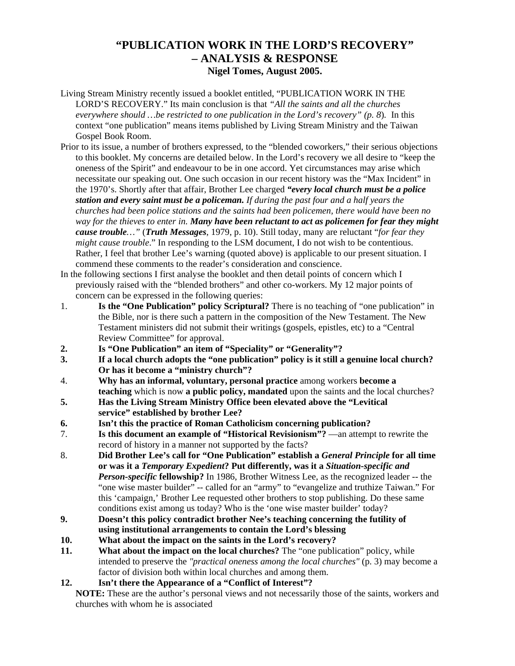# **"PUBLICATION WORK IN THE LORD'S RECOVERY" – ANALYSIS & RESPONSE Nigel Tomes, August 2005.**

- Living Stream Ministry recently issued a booklet entitled, "PUBLICATION WORK IN THE LORD'S RECOVERY." Its main conclusion is that *"All the saints and all the churches everywhere should …be restricted to one publication in the Lord's recovery" (p. 8*)*.* In this context "one publication" means items published by Living Stream Ministry and the Taiwan Gospel Book Room.
- Prior to its issue, a number of brothers expressed, to the "blended coworkers," their serious objections to this booklet. My concerns are detailed below. In the Lord's recovery we all desire to "keep the oneness of the Spirit" and endeavour to be in one accord. Yet circumstances may arise which necessitate our speaking out. One such occasion in our recent history was the "Max Incident" in the 1970's. Shortly after that affair, Brother Lee charged *"every local church must be a police station and every saint must be a policeman. If during the past four and a half years the churches had been police stations and the saints had been policemen, there would have been no way for the thieves to enter in. Many have been reluctant to act as policemen for fear they might cause trouble…"* (*Truth Messages*, 1979, p. 10). Still today, many are reluctant "*for fear they might cause trouble*." In responding to the LSM document, I do not wish to be contentious. Rather, I feel that brother Lee's warning (quoted above) is applicable to our present situation. I commend these comments to the reader's consideration and conscience.
- In the following sections I first analyse the booklet and then detail points of concern which I previously raised with the "blended brothers" and other co-workers. My 12 major points of concern can be expressed in the following queries:
- 1. **Is the "One Publication" policy Scriptural?** There is no teaching of "one publication" in the Bible, nor is there such a pattern in the composition of the New Testament. The New Testament ministers did not submit their writings (gospels, epistles, etc) to a "Central Review Committee" for approval.
- **2. Is "One Publication" an item of "Speciality" or "Generality"?**
- **3. If a local church adopts the "one publication" policy is it still a genuine local church? Or has it become a "ministry church"?**
- 4. **Why has an informal, voluntary, personal practice** among workers **become a teaching** which is now **a public policy, mandated** upon the saints and the local churches?
- **5. Has the Living Stream Ministry Office been elevated above the "Levitical service" established by brother Lee?**
- **6. Isn't this the practice of Roman Catholicism concerning publication?**
- 7. **Is this document an example of "Historical Revisionism"?** —an attempt to rewrite the record of history in a manner not supported by the facts?
- 8. **Did Brother Lee's call for "One Publication" establish a** *General Principle* **for all time or was it a** *Temporary Expedient***? Put differently, was it a** *Situation-specific and Person-specific* **fellowship?** In 1986, Brother Witness Lee, as the recognized leader -- the "one wise master builder" -- called for an "army" to "evangelize and truthize Taiwan." For this 'campaign,' Brother Lee requested other brothers to stop publishing. Do these same conditions exist among us today? Who is the 'one wise master builder' today?
- **9. Doesn't this policy contradict brother Nee's teaching concerning the futility of using institutional arrangements to contain the Lord's blessing**
- **10. What about the impact on the saints in the Lord's recovery?**
- **11. What about the impact on the local churches?** The "one publication" policy, while intended to preserve the *"practical oneness among the local churches"* (p. 3) may become a factor of division both within local churches and among them.
- **12. Isn't there the Appearance of a "Conflict of Interest"?**

**NOTE:** These are the author's personal views and not necessarily those of the saints, workers and churches with whom he is associated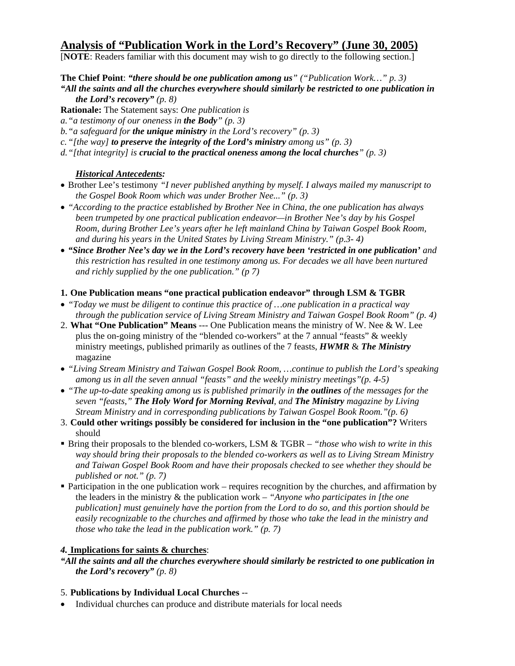# **Analysis of "Publication Work in the Lord's Recovery" (June 30, 2005)**

[**NOTE**: Readers familiar with this document may wish to go directly to the following section.]

**The Chief Point**: *"there should be one publication among us" ("Publication Work…" p. 3)* 

*"All the saints and all the churches everywhere should similarly be restricted to one publication in the Lord's recovery" (p. 8)* 

**Rationale:** The Statement says: *One publication is* 

*a."a testimony of our oneness in the Body" (p. 3)* 

*b."a safeguard for the unique ministry in the Lord's recovery" (p. 3)* 

*c."[the way] to preserve the integrity of the Lord's ministry among us" (p. 3)* 

*d."[that integrity] is crucial to the practical oneness among the local churches" (p. 3)* 

## *Historical Antecedents:*

- Brother Lee's testimony *"I never published anything by myself. I always mailed my manuscript to the Gospel Book Room which was under Brother Nee..." (p. 3)*
- *"According to the practice established by Brother Nee in China, the one publication has always been trumpeted by one practical publication endeavor—in Brother Nee's day by his Gospel Room, during Brother Lee's years after he left mainland China by Taiwan Gospel Book Room, and during his years in the United States by Living Stream Ministry." (p.3- 4)*
- *"Since Brother Nee's day we in the Lord's recovery have been 'restricted in one publication' and this restriction has resulted in one testimony among us. For decades we all have been nurtured and richly supplied by the one publication." (p 7)*
- **1. One Publication means "one practical publication endeavor" through LSM & TGBR**
- *"Today we must be diligent to continue this practice of …one publication in a practical way through the publication service of Living Stream Ministry and Taiwan Gospel Book Room" (p. 4)*
- 2. **What "One Publication" Means** --- One Publication means the ministry of W. Nee & W. Lee plus the on-going ministry of the "blended co-workers" at the 7 annual "feasts" & weekly ministry meetings, published primarily as outlines of the 7 feasts, *HWMR* & *The Ministry* magazine
- *"Living Stream Ministry and Taiwan Gospel Book Room, …continue to publish the Lord's speaking among us in all the seven annual "feasts" and the weekly ministry meetings"(p. 4-5)*
- *"The up-to-date speaking among us is published primarily in the outlines of the messages for the seven "feasts," The Holy Word for Morning Revival, and The Ministry magazine by Living Stream Ministry and in corresponding publications by Taiwan Gospel Book Room."(p. 6)*
- 3. **Could other writings possibly be considered for inclusion in the "one publication"?** Writers should
- Bring their proposals to the blended co-workers, LSM & TGBR *"those who wish to write in this way should bring their proposals to the blended co-workers as well as to Living Stream Ministry and Taiwan Gospel Book Room and have their proposals checked to see whether they should be published or not." (p. 7)*
- **Participation in the one publication work requires recognition by the churches, and affirmation by** the leaders in the ministry & the publication work – *"Anyone who participates in [the one publication] must genuinely have the portion from the Lord to do so, and this portion should be easily recognizable to the churches and affirmed by those who take the lead in the ministry and those who take the lead in the publication work." (p. 7)*

## *4.* **Implications for saints & churches**:

*"All the saints and all the churches everywhere should similarly be restricted to one publication in the Lord's recovery" (p. 8)*

## 5. **Publications by Individual Local Churches** --

• Individual churches can produce and distribute materials for local needs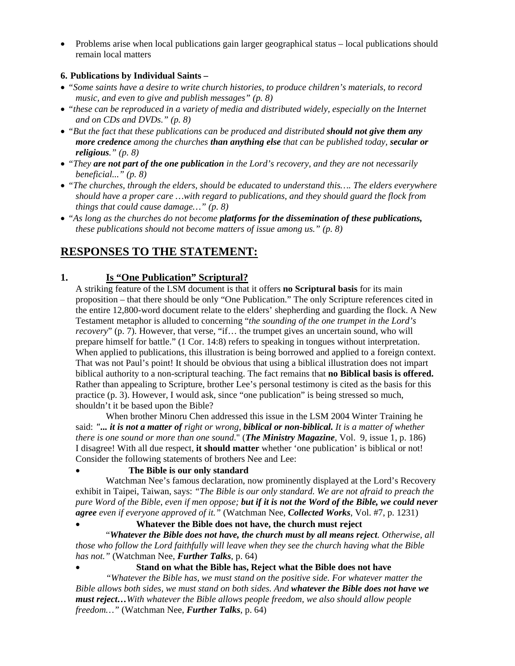• Problems arise when local publications gain larger geographical status – local publications should remain local matters

## **6. Publications by Individual Saints –**

- *"Some saints have a desire to write church histories, to produce children's materials, to record music, and even to give and publish messages" (p. 8)*
- *"these can be reproduced in a variety of media and distributed widely, especially on the Internet and on CDs and DVDs." (p. 8)*
- *"But the fact that these publications can be produced and distributed should not give them any more credence among the churches than anything else that can be published today, secular or religious." (p. 8)*
- *"They are not part of the one publication in the Lord's recovery, and they are not necessarily beneficial..." (p. 8)*
- *"The churches, through the elders, should be educated to understand this…. The elders everywhere should have a proper care …with regard to publications, and they should guard the flock from things that could cause damage…" (p. 8)*
- *"As long as the churches do not become platforms for the dissemination of these publications, these publications should not become matters of issue among us." (p. 8)*

# **RESPONSES TO THE STATEMENT:**

# **1. Is "One Publication" Scriptural?**

A striking feature of the LSM document is that it offers **no Scriptural basis** for its main proposition – that there should be only "One Publication." The only Scripture references cited in the entire 12,800-word document relate to the elders' shepherding and guarding the flock. A New Testament metaphor is alluded to concerning "*the sounding of the one trumpet in the Lord's recovery*" (p. 7). However, that verse, "if... the trumpet gives an uncertain sound, who will prepare himself for battle." (1 Cor. 14:8) refers to speaking in tongues without interpretation. When applied to publications, this illustration is being borrowed and applied to a foreign context. That was not Paul's point! It should be obvious that using a biblical illustration does not impart biblical authority to a non-scriptural teaching. The fact remains that **no Biblical basis is offered.** Rather than appealing to Scripture, brother Lee's personal testimony is cited as the basis for this practice (p. 3). However, I would ask, since "one publication" is being stressed so much, shouldn't it be based upon the Bible?

 When brother Minoru Chen addressed this issue in the LSM 2004 Winter Training he said: *"... it is not a matter of right or wrong, biblical or non-biblical. It is a matter of whether there is one sound or more than one sound*." (*The Ministry Magazine*, Vol. 9, issue 1, p. 186) I disagree! With all due respect, **it should matter** whether 'one publication' is biblical or not! Consider the following statements of brothers Nee and Lee:

#### • **The Bible is our only standard**

 Watchman Nee's famous declaration, now prominently displayed at the Lord's Recovery exhibit in Taipei, Taiwan, says: *"The Bible is our only standard. We are not afraid to preach the pure Word of the Bible, even if men oppose; but if it is not the Word of the Bible, we could never agree even if everyone approved of it."* (Watchman Nee, *Collected Works*, Vol. #7, p. 1231)

# • **Whatever the Bible does not have, the church must reject**

 "*Whatever the Bible does not have, the church must by all means reject. Otherwise, all those who follow the Lord faithfully will leave when they see the church having what the Bible has not."* (Watchman Nee, *Further Talks*, p. 64)

• **Stand on what the Bible has, Reject what the Bible does not have** 

 *"Whatever the Bible has, we must stand on the positive side. For whatever matter the Bible allows both sides, we must stand on both sides. And whatever the Bible does not have we must reject…With whatever the Bible allows people freedom, we also should allow people freedom…"* (Watchman Nee, *Further Talks*, p. 64)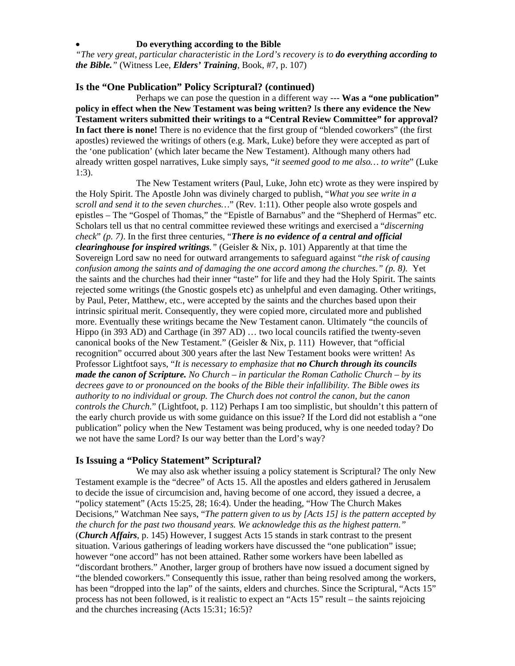#### • **Do everything according to the Bible**

*"The very great, particular characteristic in the Lord's recovery is to do everything according to the Bible."* (Witness Lee, *Elders' Training*, Book, #7, p. 107)

#### **Is the "One Publication" Policy Scriptural? (continued)**

Perhaps we can pose the question in a different way --- **Was a "one publication" policy in effect when the New Testament was being written?** I**s there any evidence the New Testament writers submitted their writings to a "Central Review Committee" for approval? In fact there is none!** There is no evidence that the first group of "blended coworkers" (the first apostles) reviewed the writings of others (e.g. Mark, Luke) before they were accepted as part of the 'one publication' (which later became the New Testament). Although many others had already written gospel narratives, Luke simply says, "*it seemed good to me also… to write*" (Luke 1:3).

The New Testament writers (Paul, Luke, John etc) wrote as they were inspired by the Holy Spirit. The Apostle John was divinely charged to publish, "*What you see write in a scroll and send it to the seven churches…*" (Rev. 1:11). Other people also wrote gospels and epistles – The "Gospel of Thomas," the "Epistle of Barnabus" and the "Shepherd of Hermas" etc. Scholars tell us that no central committee reviewed these writings and exercised a "*discerning check*" *(p. 7)*. In the first three centuries, "*There is no evidence of a central and official clearinghouse for inspired writings."* (Geisler & Nix, p. 101) Apparently at that time the Sovereign Lord saw no need for outward arrangements to safeguard against "*the risk of causing confusion among the saints and of damaging the one accord among the churches." (p. 8).* Yet the saints and the churches had their inner "taste" for life and they had the Holy Spirit. The saints rejected some writings (the Gnostic gospels etc) as unhelpful and even damaging. Other writings, by Paul, Peter, Matthew, etc., were accepted by the saints and the churches based upon their intrinsic spiritual merit. Consequently, they were copied more, circulated more and published more. Eventually these writings became the New Testament canon. Ultimately "the councils of Hippo (in 393 AD) and Carthage (in 397 AD) … two local councils ratified the twenty-seven canonical books of the New Testament." (Geisler & Nix, p. 111) However, that "official recognition" occurred about 300 years after the last New Testament books were written! As Professor Lightfoot says, "*It is necessary to emphasize that no Church through its councils made the canon of Scripture. No Church – in particular the Roman Catholic Church – by its decrees gave to or pronounced on the books of the Bible their infallibility. The Bible owes its authority to no individual or group. The Church does not control the canon, but the canon controls the Church.*" (Lightfoot, p. 112) Perhaps I am too simplistic, but shouldn't this pattern of the early church provide us with some guidance on this issue? If the Lord did not establish a "one publication" policy when the New Testament was being produced, why is one needed today? Do we not have the same Lord? Is our way better than the Lord's way?

#### **Is Issuing a "Policy Statement" Scriptural?**

We may also ask whether issuing a policy statement is Scriptural? The only New Testament example is the "decree" of Acts 15. All the apostles and elders gathered in Jerusalem to decide the issue of circumcision and, having become of one accord, they issued a decree, a "policy statement" (Acts 15:25, 28; 16:4). Under the heading, "How The Church Makes Decisions," Watchman Nee says, "*The pattern given to us by [Acts 15] is the pattern accepted by the church for the past two thousand years. We acknowledge this as the highest pattern."*  (*Church Affairs*, p. 145) However, I suggest Acts 15 stands in stark contrast to the present situation. Various gatherings of leading workers have discussed the "one publication" issue; however "one accord" has not been attained. Rather some workers have been labelled as "discordant brothers." Another, larger group of brothers have now issued a document signed by "the blended coworkers." Consequently this issue, rather than being resolved among the workers, has been "dropped into the lap" of the saints, elders and churches. Since the Scriptural, "Acts 15" process has not been followed, is it realistic to expect an "Acts 15" result – the saints rejoicing and the churches increasing (Acts 15:31; 16:5)?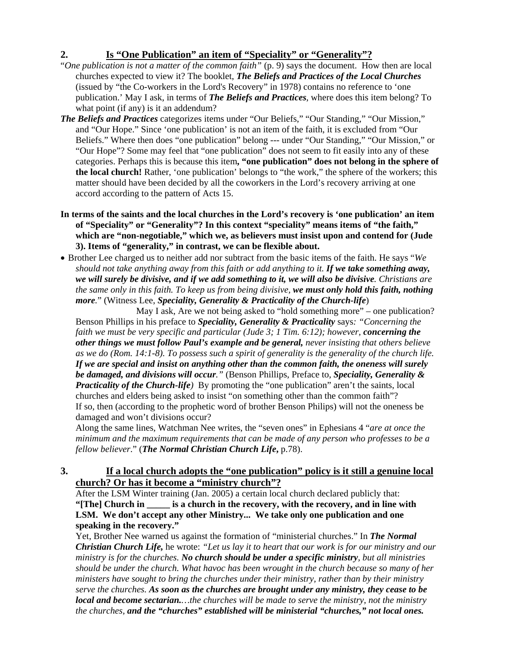# **2. Is "One Publication" an item of "Speciality" or "Generality"?**

- "*One publication is not a matter of the common faith"* (p. 9) says the document. How then are local churches expected to view it? The booklet, *The Beliefs and Practices of the Local Churches* (issued by "the Co-workers in the Lord's Recovery" in 1978) contains no reference to 'one publication.' May I ask, in terms of *The Beliefs and Practices*, where does this item belong? To what point (if any) is it an addendum?
- *The Beliefs and Practices* categorizes items under "Our Beliefs," "Our Standing," "Our Mission," and "Our Hope." Since 'one publication' is not an item of the faith, it is excluded from "Our Beliefs." Where then does "one publication" belong --- under "Our Standing," "Our Mission," or "Our Hope"? Some may feel that "one publication" does not seem to fit easily into any of these categories. Perhaps this is because this item**, "one publication" does not belong in the sphere of the local church!** Rather, 'one publication' belongs to "the work," the sphere of the workers; this matter should have been decided by all the coworkers in the Lord's recovery arriving at one accord according to the pattern of Acts 15.
- **In terms of the saints and the local churches in the Lord's recovery is 'one publication' an item of "Speciality" or "Generality"? In this context "speciality" means items of "the faith," which are "non-negotiable," which we, as believers must insist upon and contend for (Jude 3). Items of "generality," in contrast, we can be flexible about.**
- Brother Lee charged us to neither add nor subtract from the basic items of the faith. He says "*We should not take anything away from this faith or add anything to it. If we take something away, we will surely be divisive, and if we add something to it, we will also be divisive. Christians are the same only in this faith. To keep us from being divisive, we must only hold this faith, nothing more.*" (Witness Lee, *Speciality, Generality & Practicality of the Church-life*)

May I ask, Are we not being asked to "hold something more" – one publication? Benson Phillips in his preface to *Speciality, Generality & Practicality* says*: "Concerning the faith we must be very specific and particular (Jude 3; 1 Tim. 6:12); however, concerning the other things we must follow Paul's example and be general, never insisting that others believe as we do (Rom. 14:1-8). To possess such a spirit of generality is the generality of the church life. If we are special and insist on anything other than the common faith, the oneness will surely be damaged, and divisions will occur."* (Benson Phillips, Preface to, *Speciality, Generality & Practicality of the Church-life)* By promoting the "one publication" aren't the saints, local churches and elders being asked to insist "on something other than the common faith"? If so, then (according to the prophetic word of brother Benson Philips) will not the oneness be damaged and won't divisions occur?

Along the same lines, Watchman Nee writes, the "seven ones" in Ephesians 4 "*are at once the minimum and the maximum requirements that can be made of any person who professes to be a fellow believer*." (*The Normal Christian Church Life***,** p.78).

# **3. If a local church adopts the "one publication" policy is it still a genuine local church? Or has it become a "ministry church"?**

 After the LSM Winter training (Jan. 2005) a certain local church declared publicly that:  **"[The] Church in \_\_\_\_\_ is a church in the recovery, with the recovery, and in line with LSM. We don't accept any other Ministry... We take only one publication and one speaking in the recovery."** 

Yet, Brother Nee warned us against the formation of "ministerial churches." In *The Normal Christian Church Life,* he wrote: *"Let us lay it to heart that our work is for our ministry and our ministry is for the churches. No church should be under a specific ministry, but all ministries should be under the church. What havoc has been wrought in the church because so many of her ministers have sought to bring the churches under their ministry, rather than by their ministry serve the churches. As soon as the churches are brought under any ministry, they cease to be local and become sectarian.…the churches will be made to serve the ministry, not the ministry the churches, and the "churches" established will be ministerial "churches," not local ones.*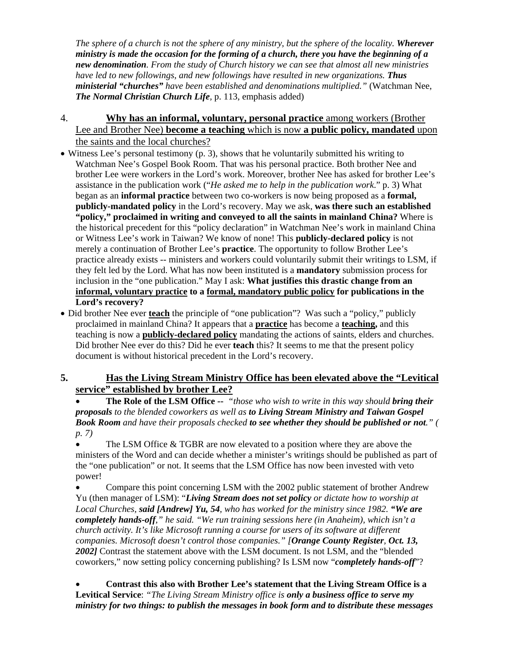*The sphere of a church is not the sphere of any ministry, but the sphere of the locality. Wherever ministry is made the occasion for the forming of a church, there you have the beginning of a new denomination. From the study of Church history we can see that almost all new ministries have led to new followings, and new followings have resulted in new organizations. Thus ministerial "churches" have been established and denominations multiplied."* (Watchman Nee, *The Normal Christian Church Life,* p. 113, emphasis added)

- 4. **Why has an informal, voluntary, personal practice** among workers (Brother Lee and Brother Nee) **become a teaching** which is now **a public policy, mandated** upon the saints and the local churches?
- Witness Lee's personal testimony (p. 3), shows that he voluntarily submitted his writing to Watchman Nee's Gospel Book Room. That was his personal practice. Both brother Nee and brother Lee were workers in the Lord's work. Moreover, brother Nee has asked for brother Lee's assistance in the publication work ("*He asked me to help in the publication work*." p. 3) What began as an **informal practice** between two co-workers is now being proposed as a **formal, publicly-mandated policy** in the Lord's recovery. May we ask, **was there such an established "policy," proclaimed in writing and conveyed to all the saints in mainland China?** Where is the historical precedent for this "policy declaration" in Watchman Nee's work in mainland China or Witness Lee's work in Taiwan? We know of none! This **publicly-declared policy** is not merely a continuation of Brother Lee's **practice**. The opportunity to follow Brother Lee's practice already exists -- ministers and workers could voluntarily submit their writings to LSM, if they felt led by the Lord. What has now been instituted is a **mandatory** submission process for inclusion in the "one publication." May I ask: **What justifies this drastic change from an informal, voluntary practice to a formal, mandatory public policy for publications in the Lord's recovery?**
- Did brother Nee ever **teach** the principle of "one publication"? Was such a "policy," publicly proclaimed in mainland China? It appears that a **practice** has become a **teaching,** and this teaching is now a **publicly-declared policy** mandating the actions of saints, elders and churches. Did brother Nee ever do this? Did he ever **teach** this? It seems to me that the present policy document is without historical precedent in the Lord's recovery.

# **5. Has the Living Stream Ministry Office has been elevated above the "Levitical service" established by brother Lee?**

• **The Role of the LSM Office --** *"those who wish to write in this way should bring their proposals to the blended coworkers as well as to Living Stream Ministry and Taiwan Gospel Book Room and have their proposals checked to see whether they should be published or not." ( p. 7)* 

• The LSM Office & TGBR are now elevated to a position where they are above the ministers of the Word and can decide whether a minister's writings should be published as part of the "one publication" or not. It seems that the LSM Office has now been invested with veto power!

• Compare this point concerning LSM with the 2002 public statement of brother Andrew Yu (then manager of LSM): "*Living Stream does not set policy or dictate how to worship at Local Churches, said [Andrew] Yu, 54, who has worked for the ministry since 1982. "We are completely hands-off," he said. "We run training sessions here (in Anaheim), which isn't a church activity. It's like Microsoft running a course for users of its software at different companies. Microsoft doesn't control those companies." [Orange County Register, Oct. 13, 2002]* Contrast the statement above with the LSM document. Is not LSM, and the "blended coworkers," now setting policy concerning publishing? Is LSM now "*completely hands-off*"?

• **Contrast this also with Brother Lee's statement that the Living Stream Office is a Levitical Service**: *"The Living Stream Ministry office is only a business office to serve my ministry for two things: to publish the messages in book form and to distribute these messages*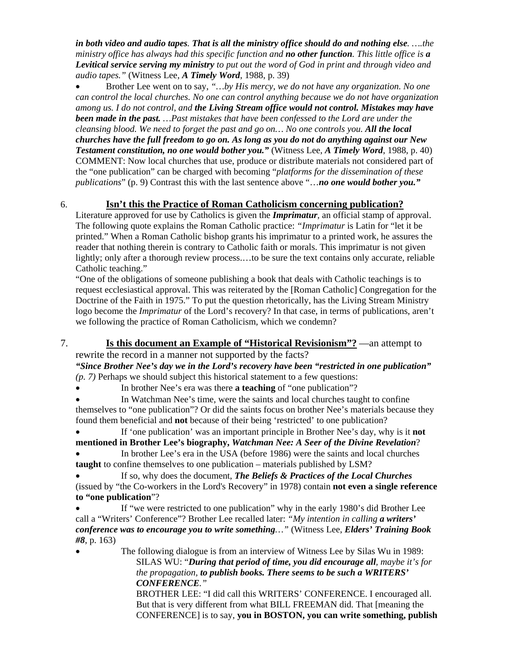*in both video and audio tapes. That is all the ministry office should do and nothing else. ….the ministry office has always had this specific function and no other function. This little office is a Levitical service serving my ministry to put out the word of God in print and through video and audio tapes."* (Witness Lee, *A Timely Word*, 1988, p. 39)

• Brother Lee went on to say, *"…by His mercy, we do not have any organization. No one can control the local churches. No one can control anything because we do not have organization among us. I do not control, and the Living Stream office would not control. Mistakes may have been made in the past. …Past mistakes that have been confessed to the Lord are under the cleansing blood. We need to forget the past and go on... No one controls you. All the local churches have the full freedom to go on. As long as you do not do anything against our New Testament constitution, no one would bother you."* (Witness Lee, *A Timely Word*, 1988, p. 40) COMMENT: Now local churches that use, produce or distribute materials not considered part of the "one publication" can be charged with becoming "*platforms for the dissemination of these publications*" (p. 9) Contrast this with the last sentence above "…*no one would bother you."*

## 6. **Isn't this the Practice of Roman Catholicism concerning publication?**

Literature approved for use by Catholics is given the *Imprimatur,* an official stamp of approval. The following quote explains the Roman Catholic practice: *"Imprimatur* is Latin for "let it be printed." When a Roman Catholic bishop grants his imprimatur to a printed work, he assures the reader that nothing therein is contrary to Catholic faith or morals. This imprimatur is not given lightly; only after a thorough review process....to be sure the text contains only accurate, reliable Catholic teaching."

"One of the obligations of someone publishing a book that deals with Catholic teachings is to request ecclesiastical approval. This was reiterated by the [Roman Catholic] Congregation for the Doctrine of the Faith in 1975." To put the question rhetorically, has the Living Stream Ministry logo become the *Imprimatur* of the Lord's recovery? In that case, in terms of publications, aren't we following the practice of Roman Catholicism, which we condemn?

7. **Is this document an Example of "Historical Revisionism"?** —an attempt to rewrite the record in a manner not supported by the facts?

*"Since Brother Nee's day we in the Lord's recovery have been "restricted in one publication" (p. 7)* Perhaps we should subject this historical statement to a few questions:

• In brother Nee's era was there **a teaching** of "one publication"?

In Watchman Nee's time, were the saints and local churches taught to confine themselves to "one publication"? Or did the saints focus on brother Nee's materials because they found them beneficial and **not** because of their being 'restricted' to one publication?

• If 'one publication' was an important principle in Brother Nee's day, why is it **not mentioned in Brother Lee's biography,** *Watchman Nee: A Seer of the Divine Revelation*?

• In brother Lee's era in the USA (before 1986) were the saints and local churches **taught** to confine themselves to one publication – materials published by LSM?

• If so, why does the document, *The Beliefs & Practices of the Local Churches* (issued by "the Co-workers in the Lord's Recovery" in 1978) contain **not even a single reference to "one publication**"?

If "we were restricted to one publication" why in the early 1980's did Brother Lee call a "Writers' Conference"? Brother Lee recalled later: *"My intention in calling a writers' conference was to encourage you to write something…"* (Witness Lee, *Elders' Training Book #8*, p. 163)

• The following dialogue is from an interview of Witness Lee by Silas Wu in 1989: SILAS WU: "*During that period of time, you did encourage all, maybe it's for the propagation, to publish books. There seems to be such a WRITERS' CONFERENCE."* 

 BROTHER LEE: "I did call this WRITERS' CONFERENCE. I encouraged all. But that is very different from what BILL FREEMAN did. That [meaning the CONFERENCE] is to say, **you in BOSTON, you can write something, publish**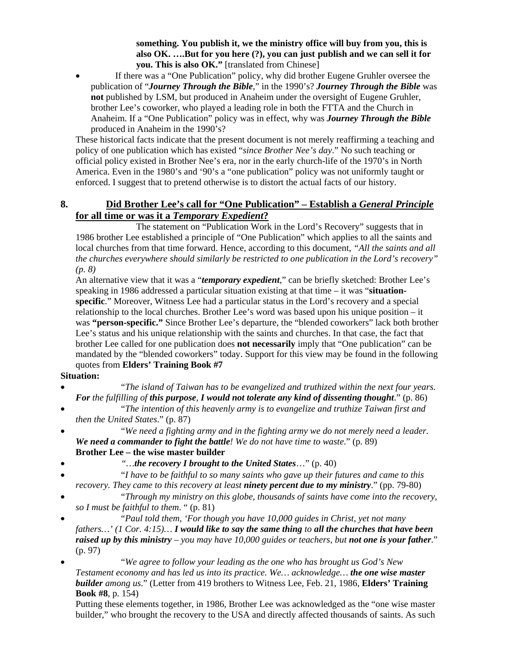**something. You publish it, we the ministry office will buy from you, this is also OK. ….But for you here (?), you can just publish and we can sell it for you. This is also OK."** [translated from Chinese]

If there was a "One Publication" policy, why did brother Eugene Gruhler oversee the publication of "*Journey Through the Bible*," in the 1990's? *Journey Through the Bible* was **not** published by LSM, but produced in Anaheim under the oversight of Eugene Gruhler, brother Lee's coworker, who played a leading role in both the FTTA and the Church in Anaheim. If a "One Publication" policy was in effect, why was *Journey Through the Bible*  produced in Anaheim in the 1990's?

These historical facts indicate that the present document is not merely reaffirming a teaching and policy of one publication which has existed "*since Brother Nee's day*." No such teaching or official policy existed in Brother Nee's era, nor in the early church-life of the 1970's in North America. Even in the 1980's and '90's a "one publication" policy was not uniformly taught or enforced. I suggest that to pretend otherwise is to distort the actual facts of our history.

# **8. Did Brother Lee's call for "One Publication" – Establish a** *General Principle* **for all time or was it a** *Temporary Expedient***?**

The statement on "Publication Work in the Lord's Recovery" suggests that in 1986 brother Lee established a principle of "One Publication" which applies to all the saints and local churches from that time forward. Hence, according to this document, *"All the saints and all the churches everywhere should similarly be restricted to one publication in the Lord's recovery" (p. 8)* 

An alternative view that it was a "*temporary expedient*," can be briefly sketched: Brother Lee's speaking in 1986 addressed a particular situation existing at that time – it was "**situationspecific**." Moreover, Witness Lee had a particular status in the Lord's recovery and a special relationship to the local churches. Brother Lee's word was based upon his unique position – it was **"person-specific."** Since Brother Lee's departure, the "blended coworkers" lack both brother Lee's status and his unique relationship with the saints and churches. In that case, the fact that brother Lee called for one publication does **not necessarily** imply that "One publication" can be mandated by the "blended coworkers" today. Support for this view may be found in the following quotes from **Elders' Training Book #7**

#### **Situation:**

- "*The island of Taiwan has to be evangelized and truthized within the next four years. For the fulfilling of this purpose, I would not tolerate any kind of dissenting thought*." (p. 86)
- "*The intention of this heavenly army is to evangelize and truthize Taiwan first and then the United States*." (p. 87)
- "*We need a fighting army and in the fighting army we do not merely need a leader. We need a commander to fight the battle! We do not have time to waste*." (p. 89) **Brother Lee – the wise master builder**
- *"…the recovery I brought to the United States*…" (p. 40)
- "*I have to be faithful to so many saints who gave up their futures and came to this recovery. They came to this recovery at least ninety percent due to my ministry*." (pp. 79-80)
- "*Through my ministry on this globe, thousands of saints have come into the recovery, so I must be faithful to them*. " (p. 81)
- "*Paul told them, 'For though you have 10,000 guides in Christ, yet not many fathers…' (1 Cor. 4:15)… I would like to say the same thing to all the churches that have been raised up by this ministry – you may have 10,000 guides or teachers, but not one is your father*." (p. 97)

• "*We agree to follow your leading as the one who has brought us God's New Testament economy and has led us into its practice. We… acknowledge… the one wise master builder among us*." (Letter from 419 brothers to Witness Lee, Feb. 21, 1986, **Elders' Training Book #8**, p. 154)

Putting these elements together, in 1986, Brother Lee was acknowledged as the "one wise master builder," who brought the recovery to the USA and directly affected thousands of saints. As such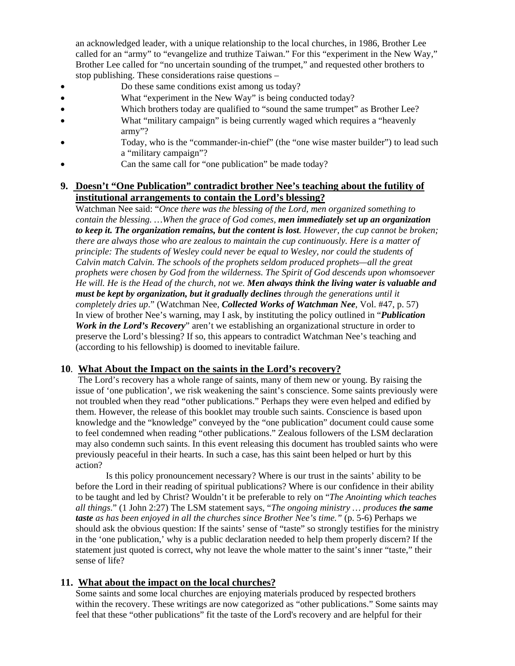an acknowledged leader, with a unique relationship to the local churches, in 1986, Brother Lee called for an "army" to "evangelize and truthize Taiwan." For this "experiment in the New Way," Brother Lee called for "no uncertain sounding of the trumpet," and requested other brothers to stop publishing. These considerations raise questions –

- Do these same conditions exist among us today?
- What "experiment in the New Way" is being conducted today?
- Which brothers today are qualified to "sound the same trumpet" as Brother Lee?
- What "military campaign" is being currently waged which requires a "heavenly" army"?
- Today, who is the "commander-in-chief" (the "one wise master builder") to lead such a "military campaign"?
- Can the same call for "one publication" be made today?

# **9.****Doesn't "One Publication" contradict brother Nee's teaching about the futility of institutional arrangements to contain the Lord's blessing?**

Watchman Nee said: "*Once there was the blessing of the Lord, men organized something to contain the blessing. …When the grace of God comes, men immediately set up an organization to keep it. The organization remains, but the content is lost. However, the cup cannot be broken; there are always those who are zealous to maintain the cup continuously. Here is a matter of principle: The students of Wesley could never be equal to Wesley, nor could the students of Calvin match Calvin. The schools of the prophets seldom produced prophets—all the great prophets were chosen by God from the wilderness. The Spirit of God descends upon whomsoever He will. He is the Head of the church, not we. Men always think the living water is valuable and must be kept by organization, but it gradually declines through the generations until it completely dries up*." (Watchman Nee*, Collected Works of Watchman Nee*, Vol. #47, p. 57) In view of brother Nee's warning, may I ask, by instituting the policy outlined in "*Publication Work in the Lord's Recovery*" aren't we establishing an organizational structure in order to preserve the Lord's blessing? If so, this appears to contradict Watchman Nee's teaching and (according to his fellowship) is doomed to inevitable failure.

## **10***.* **What About the Impact on the saints in the Lord's recovery?**

 The Lord's recovery has a whole range of saints, many of them new or young. By raising the issue of 'one publication', we risk weakening the saint's conscience. Some saints previously were not troubled when they read "other publications." Perhaps they were even helped and edified by them. However, the release of this booklet may trouble such saints. Conscience is based upon knowledge and the "knowledge" conveyed by the "one publication" document could cause some to feel condemned when reading "other publications." Zealous followers of the LSM declaration may also condemn such saints. In this event releasing this document has troubled saints who were previously peaceful in their hearts. In such a case, has this saint been helped or hurt by this action?

 Is this policy pronouncement necessary? Where is our trust in the saints' ability to be before the Lord in their reading of spiritual publications? Where is our confidence in their ability to be taught and led by Christ? Wouldn't it be preferable to rely on "*The Anointing which teaches all things*." (1 John 2:27) The LSM statement says, "*The ongoing ministry … produces the same taste as has been enjoyed in all the churches since Brother Nee's time."* (p. 5-6) Perhaps we should ask the obvious question: If the saints' sense of "taste" so strongly testifies for the ministry in the 'one publication,' why is a public declaration needed to help them properly discern? If the statement just quoted is correct, why not leave the whole matter to the saint's inner "taste," their sense of life?

## **11. What about the impact on the local churches?**

 Some saints and some local churches are enjoying materials produced by respected brothers within the recovery. These writings are now categorized as "other publications." Some saints may feel that these "other publications" fit the taste of the Lord's recovery and are helpful for their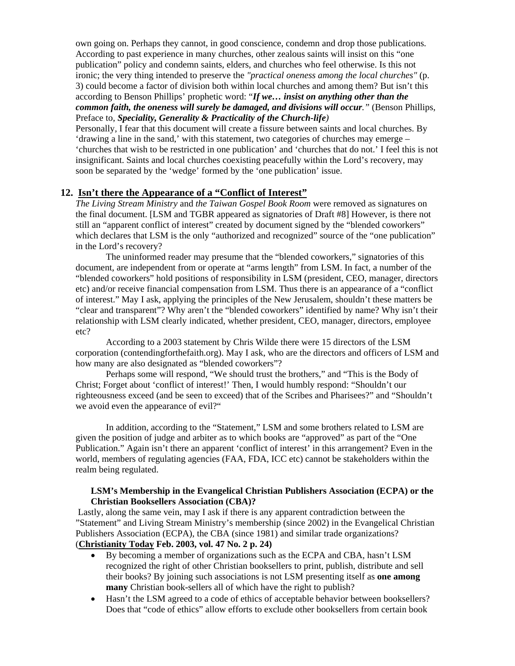own going on. Perhaps they cannot, in good conscience, condemn and drop those publications. According to past experience in many churches, other zealous saints will insist on this "one publication" policy and condemn saints, elders, and churches who feel otherwise. Is this not ironic; the very thing intended to preserve the *"practical oneness among the local churches"* (p. 3) could become a factor of division both within local churches and among them? But isn't this according to Benson Phillips' prophetic word: "*If we… insist on anything other than the common faith, the oneness will surely be damaged, and divisions will occur."* (Benson Phillips, Preface to, *Speciality, Generality & Practicality of the Church-life)* 

Personally, I fear that this document will create a fissure between saints and local churches. By 'drawing a line in the sand,' with this statement, two categories of churches may emerge – 'churches that wish to be restricted in one publication' and 'churches that do not.' I feel this is not insignificant. Saints and local churches coexisting peacefully within the Lord's recovery, may soon be separated by the 'wedge' formed by the 'one publication' issue.

#### **12. Isn't there the Appearance of a "Conflict of Interest"**

*The Living Stream Ministry* and *the Taiwan Gospel Book Room* were removed as signatures on the final document. [LSM and TGBR appeared as signatories of Draft #8] However, is there not still an "apparent conflict of interest" created by document signed by the "blended coworkers" which declares that LSM is the only "authorized and recognized" source of the "one publication" in the Lord's recovery?

 The uninformed reader may presume that the "blended coworkers," signatories of this document, are independent from or operate at "arms length" from LSM. In fact, a number of the "blended coworkers" hold positions of responsibility in LSM (president, CEO, manager, directors etc) and/or receive financial compensation from LSM. Thus there is an appearance of a "conflict of interest." May I ask, applying the principles of the New Jerusalem, shouldn't these matters be "clear and transparent"? Why aren't the "blended coworkers" identified by name? Why isn't their relationship with LSM clearly indicated, whether president, CEO, manager, directors, employee etc?

 According to a 2003 statement by Chris Wilde there were 15 directors of the LSM corporation (contendingforthefaith.org). May I ask, who are the directors and officers of LSM and how many are also designated as "blended coworkers"?

 Perhaps some will respond, "We should trust the brothers," and "This is the Body of Christ; Forget about 'conflict of interest!' Then, I would humbly respond: "Shouldn't our righteousness exceed (and be seen to exceed) that of the Scribes and Pharisees?" and "Shouldn't we avoid even the appearance of evil?"

 In addition, according to the "Statement," LSM and some brothers related to LSM are given the position of judge and arbiter as to which books are "approved" as part of the "One Publication." Again isn't there an apparent 'conflict of interest' in this arrangement? Even in the world, members of regulating agencies (FAA, FDA, ICC etc) cannot be stakeholders within the realm being regulated.

### **LSM's Membership in the Evangelical Christian Publishers Association (ECPA) or the Christian Booksellers Association (CBA)?**

 Lastly, along the same vein, may I ask if there is any apparent contradiction between the "Statement" and Living Stream Ministry's membership (since 2002) in the Evangelical Christian Publishers Association (ECPA), the CBA (since 1981) and similar trade organizations? (**Christianity Today Feb. 2003, vol. 47 No. 2 p. 24)**

- By becoming a member of organizations such as the ECPA and CBA, hasn't LSM recognized the right of other Christian booksellers to print, publish, distribute and sell their books? By joining such associations is not LSM presenting itself as **one among many** Christian book-sellers all of which have the right to publish?
- Hasn't the LSM agreed to a code of ethics of acceptable behavior between booksellers? Does that "code of ethics" allow efforts to exclude other booksellers from certain book